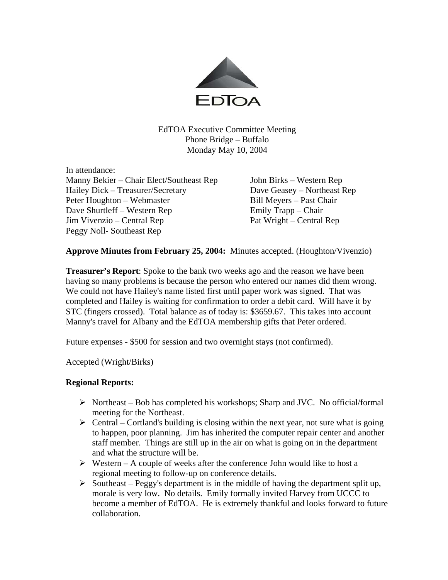

EdTOA Executive Committee Meeting Phone Bridge – Buffalo Monday May 10, 2004

In attendance: Manny Bekier – Chair Elect/Southeast Rep John Birks – Western Rep Hailey Dick – Treasurer/Secretary Dave Geasey – Northeast Rep Peter Houghton – Webmaster Bill Meyers – Past Chair Dave Shurtleff – Western Rep Emily Trapp – Chair Jim Vivenzio – Central Rep Pat Wright – Central Rep Peggy Noll- Southeast Rep

**Approve Minutes from February 25, 2004:** Minutes accepted. (Houghton/Vivenzio)

**Treasurer's Report**: Spoke to the bank two weeks ago and the reason we have been having so many problems is because the person who entered our names did them wrong. We could not have Hailey's name listed first until paper work was signed. That was completed and Hailey is waiting for confirmation to order a debit card. Will have it by STC (fingers crossed). Total balance as of today is: \$3659.67. This takes into account Manny's travel for Albany and the EdTOA membership gifts that Peter ordered.

Future expenses - \$500 for session and two overnight stays (not confirmed).

Accepted (Wright/Birks)

## **Regional Reports:**

- $\triangleright$  Northeast Bob has completed his workshops; Sharp and JVC. No official/formal meeting for the Northeast.
- $\triangleright$  Central Cortland's building is closing within the next year, not sure what is going to happen, poor planning. Jim has inherited the computer repair center and another staff member. Things are still up in the air on what is going on in the department and what the structure will be.
- $\triangleright$  Western A couple of weeks after the conference John would like to host a regional meeting to follow-up on conference details.
- $\triangleright$  Southeast Peggy's department is in the middle of having the department split up, morale is very low. No details. Emily formally invited Harvey from UCCC to become a member of EdTOA. He is extremely thankful and looks forward to future collaboration.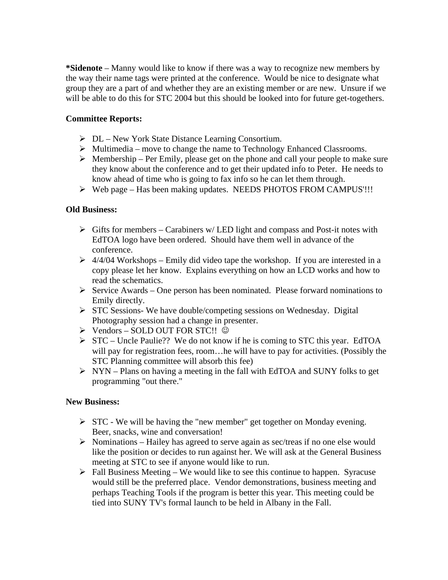**\*Sidenote** – Manny would like to know if there was a way to recognize new members by the way their name tags were printed at the conference. Would be nice to designate what group they are a part of and whether they are an existing member or are new. Unsure if we will be able to do this for STC 2004 but this should be looked into for future get-togethers.

## **Committee Reports:**

- $\triangleright$  DL New York State Distance Learning Consortium.
- $\triangleright$  Multimedia move to change the name to Technology Enhanced Classrooms.
- $\triangleright$  Membership Per Emily, please get on the phone and call your people to make sure they know about the conference and to get their updated info to Peter. He needs to know ahead of time who is going to fax info so he can let them through.
- ¾ Web page Has been making updates. NEEDS PHOTOS FROM CAMPUS'!!!

## **Old Business:**

- $\triangleright$  Gifts for members Carabiners w/ LED light and compass and Post-it notes with EdTOA logo have been ordered. Should have them well in advance of the conference.
- $\geq 4/4/04$  Workshops Emily did video tape the workshop. If you are interested in a copy please let her know. Explains everything on how an LCD works and how to read the schematics.
- $\triangleright$  Service Awards One person has been nominated. Please forward nominations to Emily directly.
- $\triangleright$  STC Sessions-We have double/competing sessions on Wednesday. Digital Photography session had a change in presenter.
- ¾ Vendors SOLD OUT FOR STC!! ☺
- $\triangleright$  STC Uncle Paulie?? We do not know if he is coming to STC this year. EdTOA will pay for registration fees, room... he will have to pay for activities. (Possibly the STC Planning committee will absorb this fee)
- $\triangleright$  NYN Plans on having a meeting in the fall with EdTOA and SUNY folks to get programming "out there."

## **New Business:**

- $\triangleright$  STC We will be having the "new member" get together on Monday evening. Beer, snacks, wine and conversation!
- $\triangleright$  Nominations Hailey has agreed to serve again as sec/treas if no one else would like the position or decides to run against her. We will ask at the General Business meeting at STC to see if anyone would like to run.
- $\triangleright$  Fall Business Meeting We would like to see this continue to happen. Syracuse would still be the preferred place. Vendor demonstrations, business meeting and perhaps Teaching Tools if the program is better this year. This meeting could be tied into SUNY TV's formal launch to be held in Albany in the Fall.